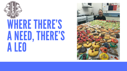

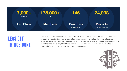As the youngest members of Lions Clubs International, Leos embody the best qualities of our incredible organization. They are devoted young people who realize the power of action. Together, Leos and Lions form a powerful partnership—one of mutual respect, where Lions learn from the innovative insights of Leos, and where Leos gain access to the proven strategies of those who've successfully served the world for decades..





### LEOS GET THINGS DONE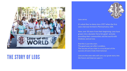

### THE STORY OF LEOS are the ones who will carry the future and improve upon it.

Leos serve. It's what they've done since 1957 when the first Leos club was formed in Pennsylvania, USA. Now, over 50 years from their beginning, Leos have grown into a dynamic force for good--actively providing their communities and the world with kindness and service. And this is just the start. The good Leos can offer is endless. The success of Leo clubs is a crucial part of the success of Lions Clubs International.

Leos are the ones who will carry our great story into

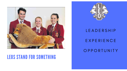

### LEOS STAND FOR SOMETHING

# L E A D E R S H I P E X P E R I E N C E O P P O R T U N I T Y